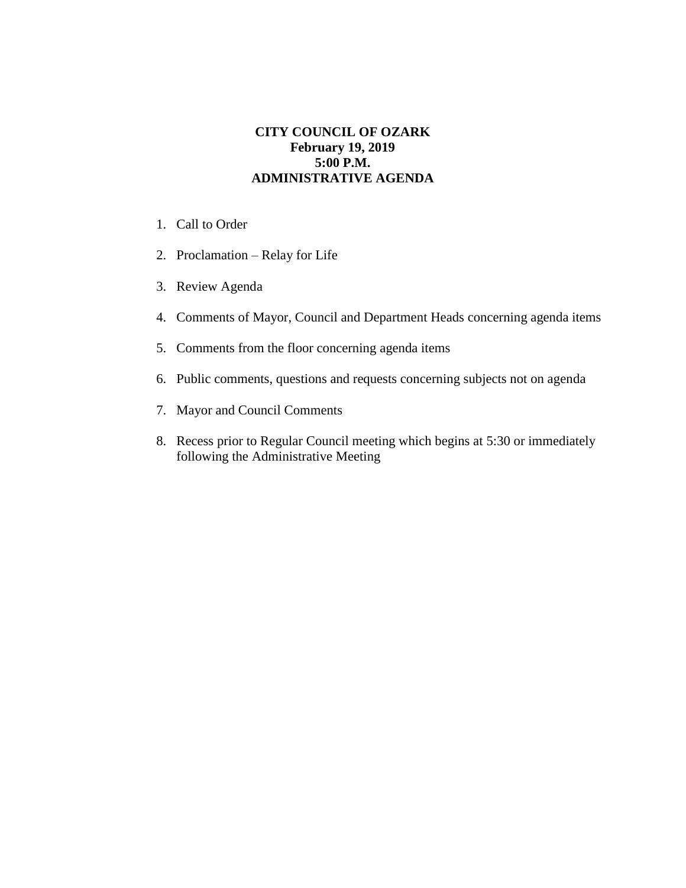## **CITY COUNCIL OF OZARK February 19, 2019 5:00 P.M. ADMINISTRATIVE AGENDA**

- 1. Call to Order
- 2. Proclamation Relay for Life
- 3. Review Agenda
- 4. Comments of Mayor, Council and Department Heads concerning agenda items
- 5. Comments from the floor concerning agenda items
- 6. Public comments, questions and requests concerning subjects not on agenda
- 7. Mayor and Council Comments
- 8. Recess prior to Regular Council meeting which begins at 5:30 or immediately following the Administrative Meeting